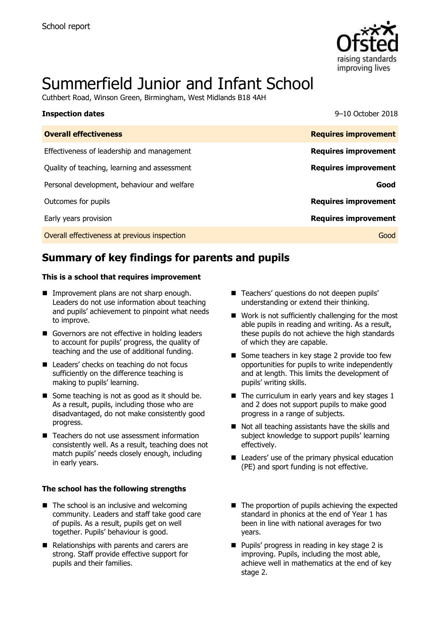

# Summerfield Junior and Infant School

Cuthbert Road, Winson Green, Birmingham, West Midlands B18 4AH

| <b>Inspection dates</b>                      | 9-10 October 2018           |
|----------------------------------------------|-----------------------------|
| <b>Overall effectiveness</b>                 | <b>Requires improvement</b> |
| Effectiveness of leadership and management   | <b>Requires improvement</b> |
| Quality of teaching, learning and assessment | <b>Requires improvement</b> |
| Personal development, behaviour and welfare  | Good                        |
| Outcomes for pupils                          | <b>Requires improvement</b> |
| Early years provision                        | <b>Requires improvement</b> |
| Overall effectiveness at previous inspection | Good                        |

# **Summary of key findings for parents and pupils**

#### **This is a school that requires improvement**

- **Improvement plans are not sharp enough.** Leaders do not use information about teaching and pupils' achievement to pinpoint what needs to improve.
- Governors are not effective in holding leaders to account for pupils' progress, the quality of teaching and the use of additional funding.
- Leaders' checks on teaching do not focus sufficiently on the difference teaching is making to pupils' learning.
- Some teaching is not as good as it should be. As a result, pupils, including those who are disadvantaged, do not make consistently good progress.
- Teachers do not use assessment information consistently well. As a result, teaching does not match pupils' needs closely enough, including in early years.

#### **The school has the following strengths**

- $\blacksquare$  The school is an inclusive and welcoming community. Leaders and staff take good care of pupils. As a result, pupils get on well together. Pupils' behaviour is good.
- Relationships with parents and carers are strong. Staff provide effective support for pupils and their families.
- Teachers' questions do not deepen pupils' understanding or extend their thinking.
- Work is not sufficiently challenging for the most able pupils in reading and writing. As a result, these pupils do not achieve the high standards of which they are capable.
- Some teachers in key stage 2 provide too few opportunities for pupils to write independently and at length. This limits the development of pupils' writing skills.
- $\blacksquare$  The curriculum in early years and key stages 1 and 2 does not support pupils to make good progress in a range of subjects.
- Not all teaching assistants have the skills and subject knowledge to support pupils' learning effectively.
- Leaders' use of the primary physical education (PE) and sport funding is not effective.
- $\blacksquare$  The proportion of pupils achieving the expected standard in phonics at the end of Year 1 has been in line with national averages for two years.
- Pupils' progress in reading in key stage 2 is improving. Pupils, including the most able, achieve well in mathematics at the end of key stage 2.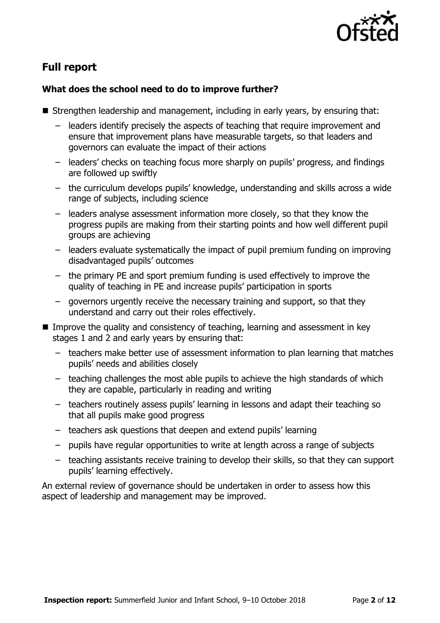

# **Full report**

### **What does the school need to do to improve further?**

- Strengthen leadership and management, including in early years, by ensuring that:
	- leaders identify precisely the aspects of teaching that require improvement and ensure that improvement plans have measurable targets, so that leaders and governors can evaluate the impact of their actions
	- leaders' checks on teaching focus more sharply on pupils' progress, and findings are followed up swiftly
	- the curriculum develops pupils' knowledge, understanding and skills across a wide range of subjects, including science
	- leaders analyse assessment information more closely, so that they know the progress pupils are making from their starting points and how well different pupil groups are achieving
	- leaders evaluate systematically the impact of pupil premium funding on improving disadvantaged pupils' outcomes
	- the primary PE and sport premium funding is used effectively to improve the quality of teaching in PE and increase pupils' participation in sports
	- governors urgently receive the necessary training and support, so that they understand and carry out their roles effectively.
- Improve the quality and consistency of teaching, learning and assessment in key stages 1 and 2 and early years by ensuring that:
	- teachers make better use of assessment information to plan learning that matches pupils' needs and abilities closely
	- teaching challenges the most able pupils to achieve the high standards of which they are capable, particularly in reading and writing
	- teachers routinely assess pupils' learning in lessons and adapt their teaching so that all pupils make good progress
	- teachers ask questions that deepen and extend pupils' learning
	- pupils have regular opportunities to write at length across a range of subjects
	- teaching assistants receive training to develop their skills, so that they can support pupils' learning effectively.

An external review of governance should be undertaken in order to assess how this aspect of leadership and management may be improved.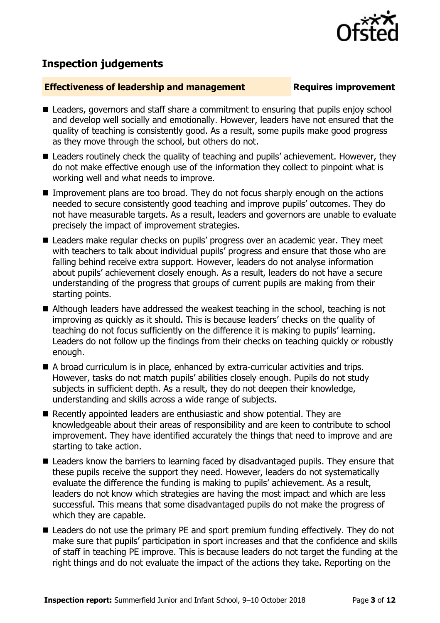

## **Inspection judgements**

#### **Effectiveness of leadership and management Requires improvement**

- Leaders, governors and staff share a commitment to ensuring that pupils enjoy school and develop well socially and emotionally. However, leaders have not ensured that the quality of teaching is consistently good. As a result, some pupils make good progress as they move through the school, but others do not.
- Leaders routinely check the quality of teaching and pupils' achievement. However, they do not make effective enough use of the information they collect to pinpoint what is working well and what needs to improve.
- Improvement plans are too broad. They do not focus sharply enough on the actions needed to secure consistently good teaching and improve pupils' outcomes. They do not have measurable targets. As a result, leaders and governors are unable to evaluate precisely the impact of improvement strategies.
- Leaders make regular checks on pupils' progress over an academic year. They meet with teachers to talk about individual pupils' progress and ensure that those who are falling behind receive extra support. However, leaders do not analyse information about pupils' achievement closely enough. As a result, leaders do not have a secure understanding of the progress that groups of current pupils are making from their starting points.
- Although leaders have addressed the weakest teaching in the school, teaching is not improving as quickly as it should. This is because leaders' checks on the quality of teaching do not focus sufficiently on the difference it is making to pupils' learning. Leaders do not follow up the findings from their checks on teaching quickly or robustly enough.
- A broad curriculum is in place, enhanced by extra-curricular activities and trips. However, tasks do not match pupils' abilities closely enough. Pupils do not study subjects in sufficient depth. As a result, they do not deepen their knowledge, understanding and skills across a wide range of subjects.
- Recently appointed leaders are enthusiastic and show potential. They are knowledgeable about their areas of responsibility and are keen to contribute to school improvement. They have identified accurately the things that need to improve and are starting to take action.
- Leaders know the barriers to learning faced by disadvantaged pupils. They ensure that these pupils receive the support they need. However, leaders do not systematically evaluate the difference the funding is making to pupils' achievement. As a result, leaders do not know which strategies are having the most impact and which are less successful. This means that some disadvantaged pupils do not make the progress of which they are capable.
- Leaders do not use the primary PE and sport premium funding effectively. They do not make sure that pupils' participation in sport increases and that the confidence and skills of staff in teaching PE improve. This is because leaders do not target the funding at the right things and do not evaluate the impact of the actions they take. Reporting on the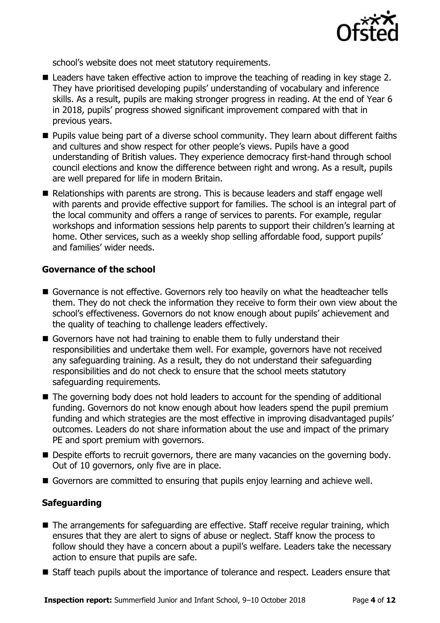

school's website does not meet statutory requirements.

- Leaders have taken effective action to improve the teaching of reading in key stage 2. They have prioritised developing pupils' understanding of vocabulary and inference skills. As a result, pupils are making stronger progress in reading. At the end of Year 6 in 2018, pupils' progress showed significant improvement compared with that in previous years.
- **Pupils value being part of a diverse school community. They learn about different faiths** and cultures and show respect for other people's views. Pupils have a good understanding of British values. They experience democracy first-hand through school council elections and know the difference between right and wrong. As a result, pupils are well prepared for life in modern Britain.
- $\blacksquare$  Relationships with parents are strong. This is because leaders and staff engage well with parents and provide effective support for families. The school is an integral part of the local community and offers a range of services to parents. For example, regular workshops and information sessions help parents to support their children's learning at home. Other services, such as a weekly shop selling affordable food, support pupils' and families' wider needs.

#### **Governance of the school**

- Governance is not effective. Governors rely too heavily on what the headteacher tells them. They do not check the information they receive to form their own view about the school's effectiveness. Governors do not know enough about pupils' achievement and the quality of teaching to challenge leaders effectively.
- Governors have not had training to enable them to fully understand their responsibilities and undertake them well. For example, governors have not received any safeguarding training. As a result, they do not understand their safeguarding responsibilities and do not check to ensure that the school meets statutory safeguarding requirements.
- The governing body does not hold leaders to account for the spending of additional funding. Governors do not know enough about how leaders spend the pupil premium funding and which strategies are the most effective in improving disadvantaged pupils' outcomes. Leaders do not share information about the use and impact of the primary PE and sport premium with governors.
- **Despite efforts to recruit governors, there are many vacancies on the governing body.** Out of 10 governors, only five are in place.
- Governors are committed to ensuring that pupils enjoy learning and achieve well.

### **Safeguarding**

- The arrangements for safeguarding are effective. Staff receive regular training, which ensures that they are alert to signs of abuse or neglect. Staff know the process to follow should they have a concern about a pupil's welfare. Leaders take the necessary action to ensure that pupils are safe.
- Staff teach pupils about the importance of tolerance and respect. Leaders ensure that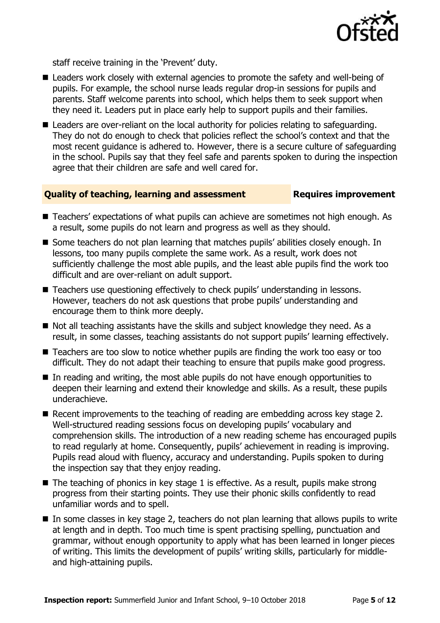

staff receive training in the 'Prevent' duty.

- Leaders work closely with external agencies to promote the safety and well-being of pupils. For example, the school nurse leads regular drop-in sessions for pupils and parents. Staff welcome parents into school, which helps them to seek support when they need it. Leaders put in place early help to support pupils and their families.
- Leaders are over-reliant on the local authority for policies relating to safeguarding. They do not do enough to check that policies reflect the school's context and that the most recent guidance is adhered to. However, there is a secure culture of safeguarding in the school. Pupils say that they feel safe and parents spoken to during the inspection agree that their children are safe and well cared for.

#### **Quality of teaching, learning and assessment Requires improvement**

- Teachers' expectations of what pupils can achieve are sometimes not high enough. As a result, some pupils do not learn and progress as well as they should.
- Some teachers do not plan learning that matches pupils' abilities closely enough. In lessons, too many pupils complete the same work. As a result, work does not sufficiently challenge the most able pupils, and the least able pupils find the work too difficult and are over-reliant on adult support.
- Teachers use questioning effectively to check pupils' understanding in lessons. However, teachers do not ask questions that probe pupils' understanding and encourage them to think more deeply.
- Not all teaching assistants have the skills and subject knowledge they need. As a result, in some classes, teaching assistants do not support pupils' learning effectively.
- Teachers are too slow to notice whether pupils are finding the work too easy or too difficult. They do not adapt their teaching to ensure that pupils make good progress.
- In reading and writing, the most able pupils do not have enough opportunities to deepen their learning and extend their knowledge and skills. As a result, these pupils underachieve.
- Recent improvements to the teaching of reading are embedding across key stage 2. Well-structured reading sessions focus on developing pupils' vocabulary and comprehension skills. The introduction of a new reading scheme has encouraged pupils to read regularly at home. Consequently, pupils' achievement in reading is improving. Pupils read aloud with fluency, accuracy and understanding. Pupils spoken to during the inspection say that they enjoy reading.
- $\blacksquare$  The teaching of phonics in key stage 1 is effective. As a result, pupils make strong progress from their starting points. They use their phonic skills confidently to read unfamiliar words and to spell.
- $\blacksquare$  In some classes in key stage 2, teachers do not plan learning that allows pupils to write at length and in depth. Too much time is spent practising spelling, punctuation and grammar, without enough opportunity to apply what has been learned in longer pieces of writing. This limits the development of pupils' writing skills, particularly for middleand high-attaining pupils.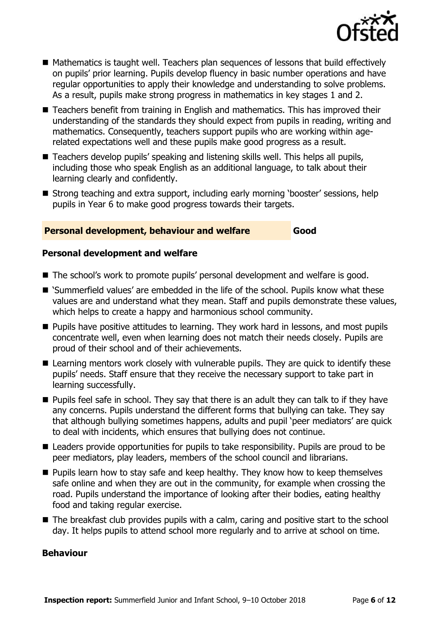

- Mathematics is taught well. Teachers plan sequences of lessons that build effectively on pupils' prior learning. Pupils develop fluency in basic number operations and have regular opportunities to apply their knowledge and understanding to solve problems. As a result, pupils make strong progress in mathematics in key stages 1 and 2.
- Teachers benefit from training in English and mathematics. This has improved their understanding of the standards they should expect from pupils in reading, writing and mathematics. Consequently, teachers support pupils who are working within agerelated expectations well and these pupils make good progress as a result.
- Teachers develop pupils' speaking and listening skills well. This helps all pupils, including those who speak English as an additional language, to talk about their learning clearly and confidently.
- Strong teaching and extra support, including early morning 'booster' sessions, help pupils in Year 6 to make good progress towards their targets.

### **Personal development, behaviour and welfare Good**

#### **Personal development and welfare**

- The school's work to promote pupils' personal development and welfare is good.
- 'Summerfield values' are embedded in the life of the school. Pupils know what these values are and understand what they mean. Staff and pupils demonstrate these values, which helps to create a happy and harmonious school community.
- **Pupils have positive attitudes to learning. They work hard in lessons, and most pupils** concentrate well, even when learning does not match their needs closely. Pupils are proud of their school and of their achievements.
- Learning mentors work closely with vulnerable pupils. They are quick to identify these pupils' needs. Staff ensure that they receive the necessary support to take part in learning successfully.
- **Pupils feel safe in school. They say that there is an adult they can talk to if they have** any concerns. Pupils understand the different forms that bullying can take. They say that although bullying sometimes happens, adults and pupil 'peer mediators' are quick to deal with incidents, which ensures that bullying does not continue.
- Leaders provide opportunities for pupils to take responsibility. Pupils are proud to be peer mediators, play leaders, members of the school council and librarians.
- $\blacksquare$  Pupils learn how to stay safe and keep healthy. They know how to keep themselves safe online and when they are out in the community, for example when crossing the road. Pupils understand the importance of looking after their bodies, eating healthy food and taking regular exercise.
- The breakfast club provides pupils with a calm, caring and positive start to the school day. It helps pupils to attend school more regularly and to arrive at school on time.

### **Behaviour**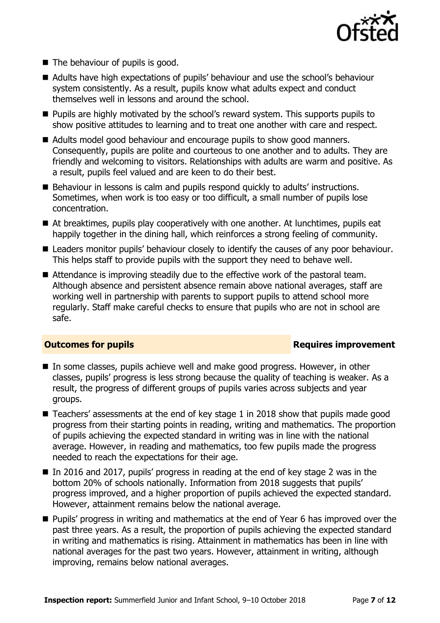

- The behaviour of pupils is good.
- Adults have high expectations of pupils' behaviour and use the school's behaviour system consistently. As a result, pupils know what adults expect and conduct themselves well in lessons and around the school.
- **Pupils are highly motivated by the school's reward system. This supports pupils to** show positive attitudes to learning and to treat one another with care and respect.
- Adults model good behaviour and encourage pupils to show good manners. Consequently, pupils are polite and courteous to one another and to adults. They are friendly and welcoming to visitors. Relationships with adults are warm and positive. As a result, pupils feel valued and are keen to do their best.
- Behaviour in lessons is calm and pupils respond quickly to adults' instructions. Sometimes, when work is too easy or too difficult, a small number of pupils lose concentration.
- At breaktimes, pupils play cooperatively with one another. At lunchtimes, pupils eat happily together in the dining hall, which reinforces a strong feeling of community.
- Leaders monitor pupils' behaviour closely to identify the causes of any poor behaviour. This helps staff to provide pupils with the support they need to behave well.
- Attendance is improving steadily due to the effective work of the pastoral team. Although absence and persistent absence remain above national averages, staff are working well in partnership with parents to support pupils to attend school more regularly. Staff make careful checks to ensure that pupils who are not in school are safe.

#### **Outcomes for pupils Requires improvement**

- In some classes, pupils achieve well and make good progress. However, in other classes, pupils' progress is less strong because the quality of teaching is weaker. As a result, the progress of different groups of pupils varies across subjects and year groups.
- Teachers' assessments at the end of key stage 1 in 2018 show that pupils made good progress from their starting points in reading, writing and mathematics. The proportion of pupils achieving the expected standard in writing was in line with the national average. However, in reading and mathematics, too few pupils made the progress needed to reach the expectations for their age.
- In 2016 and 2017, pupils' progress in reading at the end of key stage 2 was in the bottom 20% of schools nationally. Information from 2018 suggests that pupils' progress improved, and a higher proportion of pupils achieved the expected standard. However, attainment remains below the national average.
- **Pupils' progress in writing and mathematics at the end of Year 6 has improved over the** past three years. As a result, the proportion of pupils achieving the expected standard in writing and mathematics is rising. Attainment in mathematics has been in line with national averages for the past two years. However, attainment in writing, although improving, remains below national averages.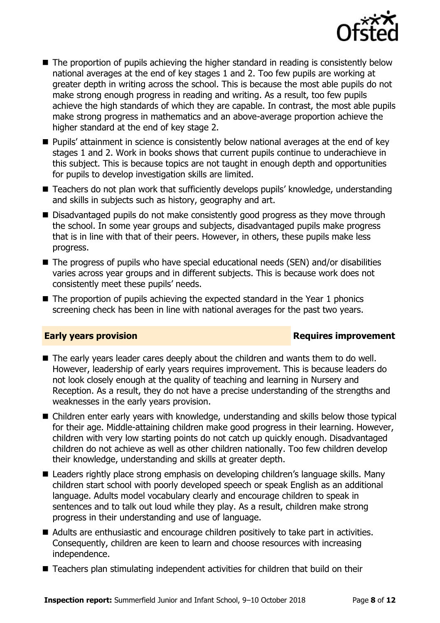

- The proportion of pupils achieving the higher standard in reading is consistently below national averages at the end of key stages 1 and 2. Too few pupils are working at greater depth in writing across the school. This is because the most able pupils do not make strong enough progress in reading and writing. As a result, too few pupils achieve the high standards of which they are capable. In contrast, the most able pupils make strong progress in mathematics and an above-average proportion achieve the higher standard at the end of key stage 2.
- **Pupils' attainment in science is consistently below national averages at the end of key** stages 1 and 2. Work in books shows that current pupils continue to underachieve in this subject. This is because topics are not taught in enough depth and opportunities for pupils to develop investigation skills are limited.
- Teachers do not plan work that sufficiently develops pupils' knowledge, understanding and skills in subjects such as history, geography and art.
- Disadvantaged pupils do not make consistently good progress as they move through the school. In some year groups and subjects, disadvantaged pupils make progress that is in line with that of their peers. However, in others, these pupils make less progress.
- The progress of pupils who have special educational needs (SEN) and/or disabilities varies across year groups and in different subjects. This is because work does not consistently meet these pupils' needs.
- $\blacksquare$  The proportion of pupils achieving the expected standard in the Year 1 phonics screening check has been in line with national averages for the past two years.

### **Early years provision**

- The early years leader cares deeply about the children and wants them to do well. However, leadership of early years requires improvement. This is because leaders do not look closely enough at the quality of teaching and learning in Nursery and Reception. As a result, they do not have a precise understanding of the strengths and weaknesses in the early years provision.
- Children enter early years with knowledge, understanding and skills below those typical for their age. Middle-attaining children make good progress in their learning. However, children with very low starting points do not catch up quickly enough. Disadvantaged children do not achieve as well as other children nationally. Too few children develop their knowledge, understanding and skills at greater depth.
- Leaders rightly place strong emphasis on developing children's language skills. Many children start school with poorly developed speech or speak English as an additional language. Adults model vocabulary clearly and encourage children to speak in sentences and to talk out loud while they play. As a result, children make strong progress in their understanding and use of language.
- Adults are enthusiastic and encourage children positively to take part in activities. Consequently, children are keen to learn and choose resources with increasing independence.
- Teachers plan stimulating independent activities for children that build on their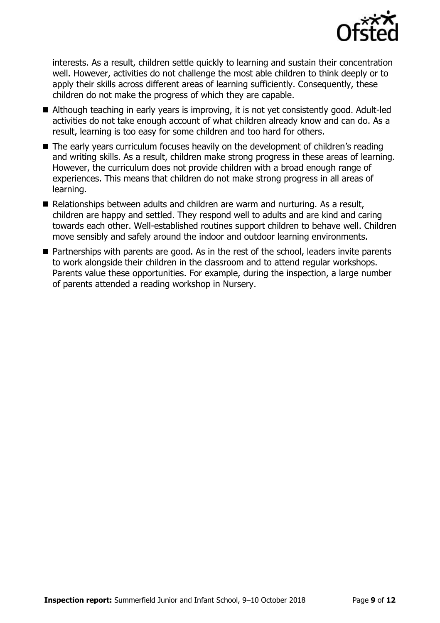

interests. As a result, children settle quickly to learning and sustain their concentration well. However, activities do not challenge the most able children to think deeply or to apply their skills across different areas of learning sufficiently. Consequently, these children do not make the progress of which they are capable.

- Although teaching in early years is improving, it is not yet consistently good. Adult-led activities do not take enough account of what children already know and can do. As a result, learning is too easy for some children and too hard for others.
- The early years curriculum focuses heavily on the development of children's reading and writing skills. As a result, children make strong progress in these areas of learning. However, the curriculum does not provide children with a broad enough range of experiences. This means that children do not make strong progress in all areas of learning.
- Relationships between adults and children are warm and nurturing. As a result, children are happy and settled. They respond well to adults and are kind and caring towards each other. Well-established routines support children to behave well. Children move sensibly and safely around the indoor and outdoor learning environments.
- Partnerships with parents are good. As in the rest of the school, leaders invite parents to work alongside their children in the classroom and to attend regular workshops. Parents value these opportunities. For example, during the inspection, a large number of parents attended a reading workshop in Nursery.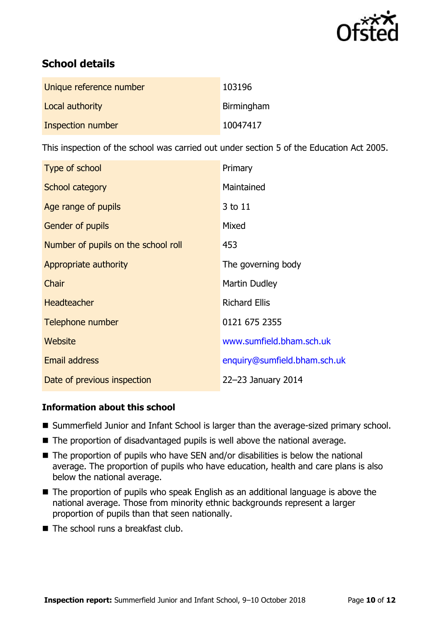

# **School details**

| Unique reference number | 103196     |
|-------------------------|------------|
| Local authority         | Birmingham |
| Inspection number       | 10047417   |

This inspection of the school was carried out under section 5 of the Education Act 2005.

| Type of school                      | Primary                      |
|-------------------------------------|------------------------------|
| School category                     | Maintained                   |
| Age range of pupils                 | 3 to 11                      |
| <b>Gender of pupils</b>             | Mixed                        |
| Number of pupils on the school roll | 453                          |
| Appropriate authority               | The governing body           |
| Chair                               | Martin Dudley                |
| <b>Headteacher</b>                  | <b>Richard Ellis</b>         |
| Telephone number                    | 0121 675 2355                |
| Website                             | www.sumfield.bham.sch.uk     |
| Email address                       | enquiry@sumfield.bham.sch.uk |
| Date of previous inspection         | 22-23 January 2014           |

### **Information about this school**

- Summerfield Junior and Infant School is larger than the average-sized primary school.
- $\blacksquare$  The proportion of disadvantaged pupils is well above the national average.
- The proportion of pupils who have SEN and/or disabilities is below the national average. The proportion of pupils who have education, health and care plans is also below the national average.
- The proportion of pupils who speak English as an additional language is above the national average. Those from minority ethnic backgrounds represent a larger proportion of pupils than that seen nationally.
- $\blacksquare$  The school runs a breakfast club.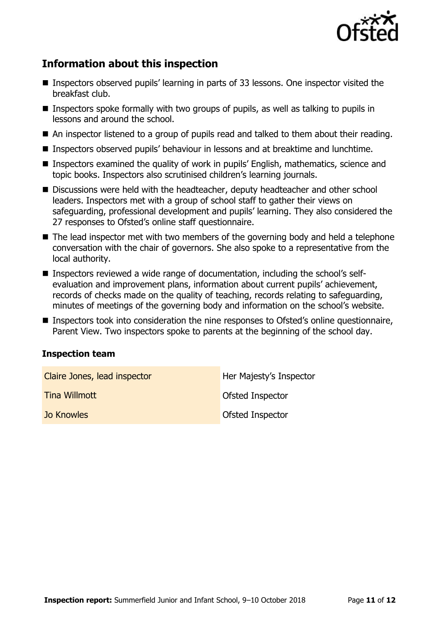

# **Information about this inspection**

- Inspectors observed pupils' learning in parts of 33 lessons. One inspector visited the breakfast club.
- $\blacksquare$  Inspectors spoke formally with two groups of pupils, as well as talking to pupils in lessons and around the school.
- An inspector listened to a group of pupils read and talked to them about their reading.
- Inspectors observed pupils' behaviour in lessons and at breaktime and lunchtime.
- Inspectors examined the quality of work in pupils' English, mathematics, science and topic books. Inspectors also scrutinised children's learning journals.
- Discussions were held with the headteacher, deputy headteacher and other school leaders. Inspectors met with a group of school staff to gather their views on safeguarding, professional development and pupils' learning. They also considered the 27 responses to Ofsted's online staff questionnaire.
- The lead inspector met with two members of the governing body and held a telephone conversation with the chair of governors. She also spoke to a representative from the local authority.
- Inspectors reviewed a wide range of documentation, including the school's selfevaluation and improvement plans, information about current pupils' achievement, records of checks made on the quality of teaching, records relating to safeguarding, minutes of meetings of the governing body and information on the school's website.
- Inspectors took into consideration the nine responses to Ofsted's online questionnaire, Parent View. Two inspectors spoke to parents at the beginning of the school day.

### **Inspection team**

| Claire Jones, lead inspector | Her Majesty's Inspector |
|------------------------------|-------------------------|
| Tina Willmott                | Ofsted Inspector        |
| Jo Knowles                   | Ofsted Inspector        |